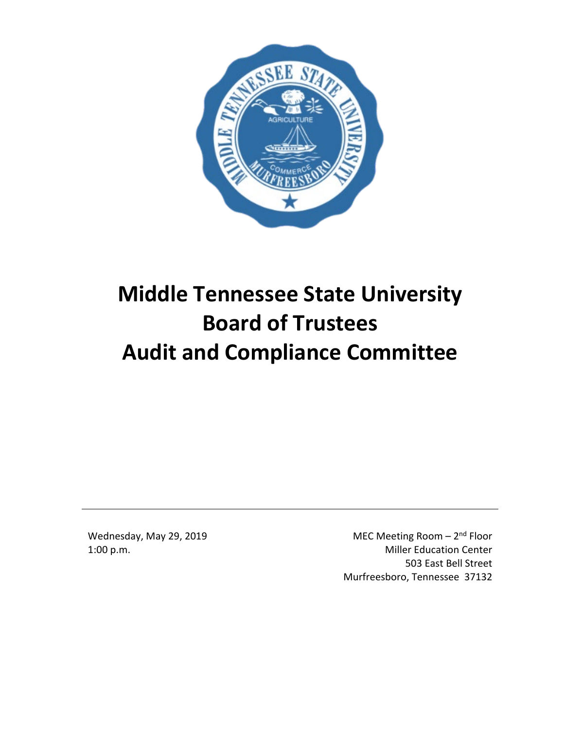

# **Middle Tennessee State University Board of Trustees Audit and Compliance Committee**

Wednesday, May 29, 2019 1:00 p.m.

MEC Meeting Room - 2<sup>nd</sup> Floor Miller Education Center 503 East Bell Street Murfreesboro, Tennessee 37132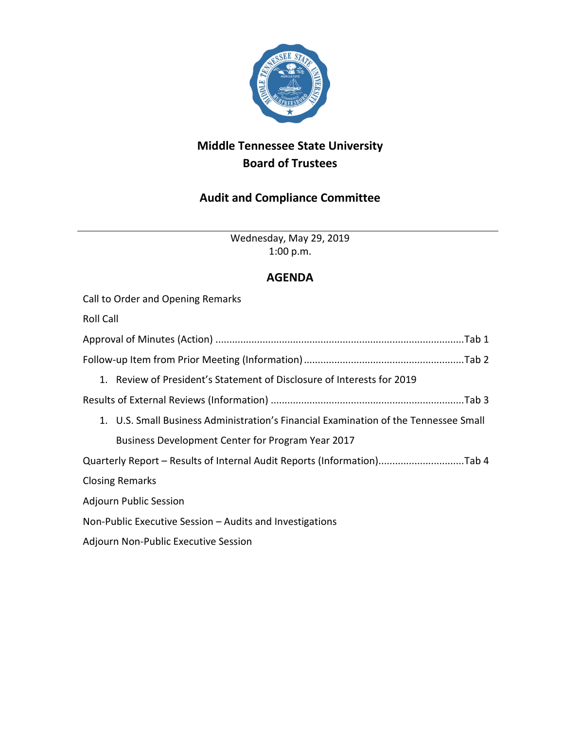

# **Audit and Compliance Committee**

Wednesday, May 29, 2019 1:00 p.m.

### **AGENDA**

| Call to Order and Opening Remarks                                                    |  |  |  |  |
|--------------------------------------------------------------------------------------|--|--|--|--|
| <b>Roll Call</b>                                                                     |  |  |  |  |
|                                                                                      |  |  |  |  |
|                                                                                      |  |  |  |  |
| 1. Review of President's Statement of Disclosure of Interests for 2019               |  |  |  |  |
|                                                                                      |  |  |  |  |
| 1. U.S. Small Business Administration's Financial Examination of the Tennessee Small |  |  |  |  |
| Business Development Center for Program Year 2017                                    |  |  |  |  |
| Quarterly Report - Results of Internal Audit Reports (Information)Tab 4              |  |  |  |  |
| <b>Closing Remarks</b>                                                               |  |  |  |  |
| <b>Adjourn Public Session</b>                                                        |  |  |  |  |
| Non-Public Executive Session – Audits and Investigations                             |  |  |  |  |
| Adjourn Non-Public Executive Session                                                 |  |  |  |  |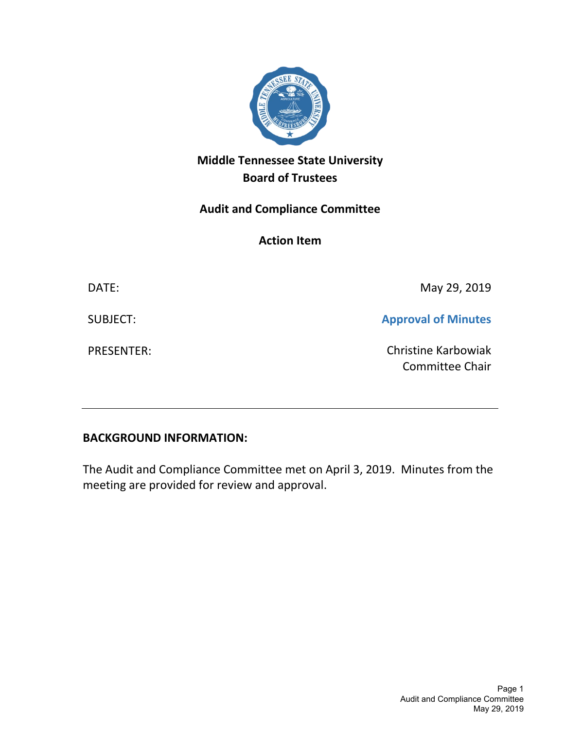

# **Audit and Compliance Committee**

# **Action Item**

DATE:

SUBJECT:

PRESENTER:

May 29, 2019

**Approval of Minutes**

Christine Karbowiak Committee Chair

# **BACKGROUND INFORMATION:**

The Audit and Compliance Committee met on April 3, 2019. Minutes from the meeting are provided for review and approval.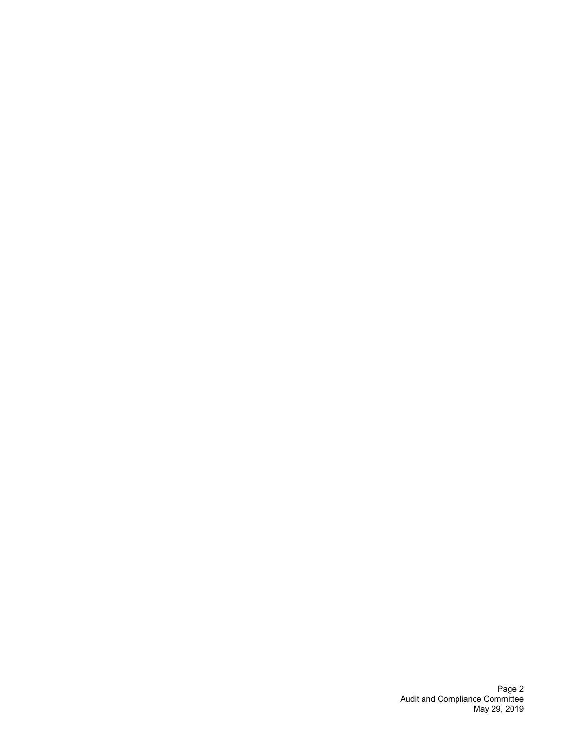Page 2 Audit and Compliance Committee May 29, 2019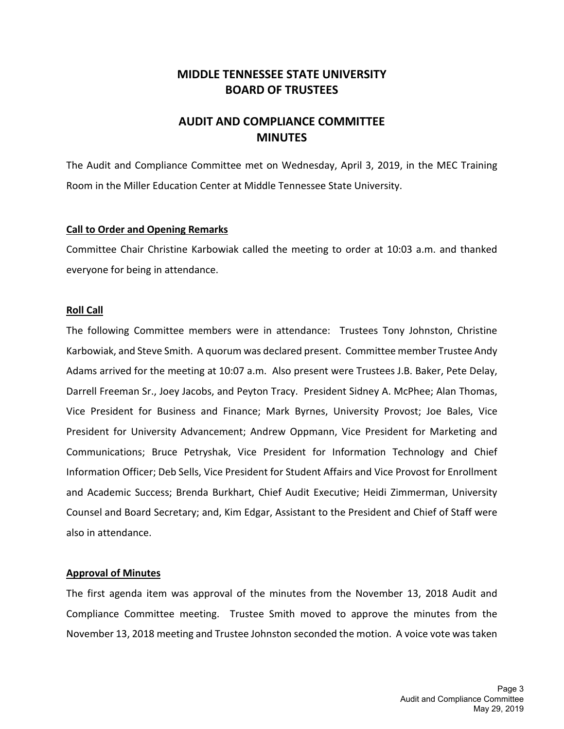### **MIDDLE TENNESSEE STATE UNIVERSITY BOARD OF TRUSTEES**

### **AUDIT AND COMPLIANCE COMMITTEE MINUTES**

The Audit and Compliance Committee met on Wednesday, April 3, 2019, in the MEC Training Room in the Miller Education Center at Middle Tennessee State University.

#### **Call to Order and Opening Remarks**

Committee Chair Christine Karbowiak called the meeting to order at 10:03 a.m. and thanked everyone for being in attendance.

#### **Roll Call**

The following Committee members were in attendance: Trustees Tony Johnston, Christine Karbowiak, and Steve Smith. A quorum was declared present. Committee member Trustee Andy Adams arrived for the meeting at 10:07 a.m. Also present were Trustees J.B. Baker, Pete Delay, Darrell Freeman Sr., Joey Jacobs, and Peyton Tracy. President Sidney A. McPhee; Alan Thomas, Vice President for Business and Finance; Mark Byrnes, University Provost; Joe Bales, Vice President for University Advancement; Andrew Oppmann, Vice President for Marketing and Communications; Bruce Petryshak, Vice President for Information Technology and Chief Information Officer; Deb Sells, Vice President for Student Affairs and Vice Provost for Enrollment and Academic Success; Brenda Burkhart, Chief Audit Executive; Heidi Zimmerman, University Counsel and Board Secretary; and, Kim Edgar, Assistant to the President and Chief of Staff were also in attendance.

#### **Approval of Minutes**

The first agenda item was approval of the minutes from the November 13, 2018 Audit and Compliance Committee meeting. Trustee Smith moved to approve the minutes from the November 13, 2018 meeting and Trustee Johnston seconded the motion. A voice vote was taken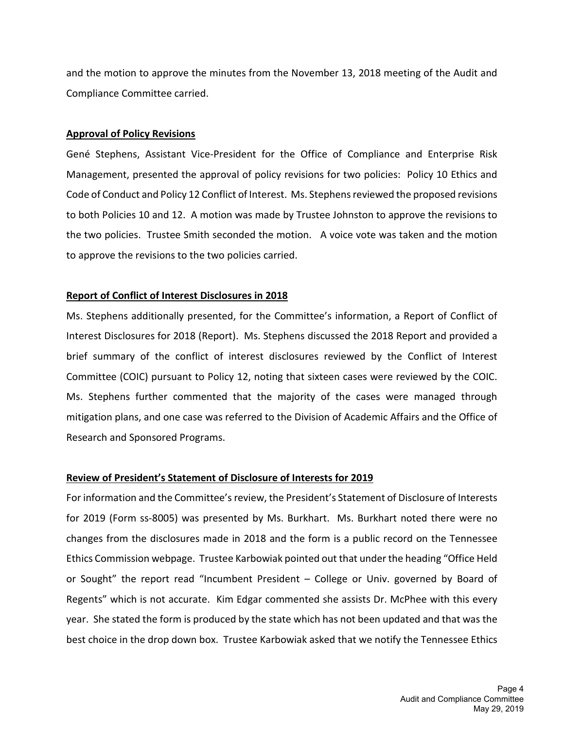and the motion to approve the minutes from the November 13, 2018 meeting of the Audit and Compliance Committee carried.

#### **Approval of Policy Revisions**

Gené Stephens, Assistant Vice-President for the Office of Compliance and Enterprise Risk Management, presented the approval of policy revisions for two policies: Policy 10 Ethics and Code of Conduct and Policy 12 Conflict of Interest. Ms. Stephens reviewed the proposed revisions to both Policies 10 and 12. A motion was made by Trustee Johnston to approve the revisions to the two policies. Trustee Smith seconded the motion. A voice vote was taken and the motion to approve the revisions to the two policies carried.

#### **Report of Conflict of Interest Disclosures in 2018**

Ms. Stephens additionally presented, for the Committee's information, a Report of Conflict of Interest Disclosures for 2018 (Report). Ms. Stephens discussed the 2018 Report and provided a brief summary of the conflict of interest disclosures reviewed by the Conflict of Interest Committee (COIC) pursuant to Policy 12, noting that sixteen cases were reviewed by the COIC. Ms. Stephens further commented that the majority of the cases were managed through mitigation plans, and one case was referred to the Division of Academic Affairs and the Office of Research and Sponsored Programs.

#### **Review of President's Statement of Disclosure of Interests for 2019**

For information and the Committee's review, the President's Statement of Disclosure of Interests for 2019 (Form ss-8005) was presented by Ms. Burkhart. Ms. Burkhart noted there were no changes from the disclosures made in 2018 and the form is a public record on the Tennessee Ethics Commission webpage. Trustee Karbowiak pointed out that under the heading "Office Held or Sought" the report read "Incumbent President – College or Univ. governed by Board of Regents" which is not accurate. Kim Edgar commented she assists Dr. McPhee with this every year. She stated the form is produced by the state which has not been updated and that was the best choice in the drop down box. Trustee Karbowiak asked that we notify the Tennessee Ethics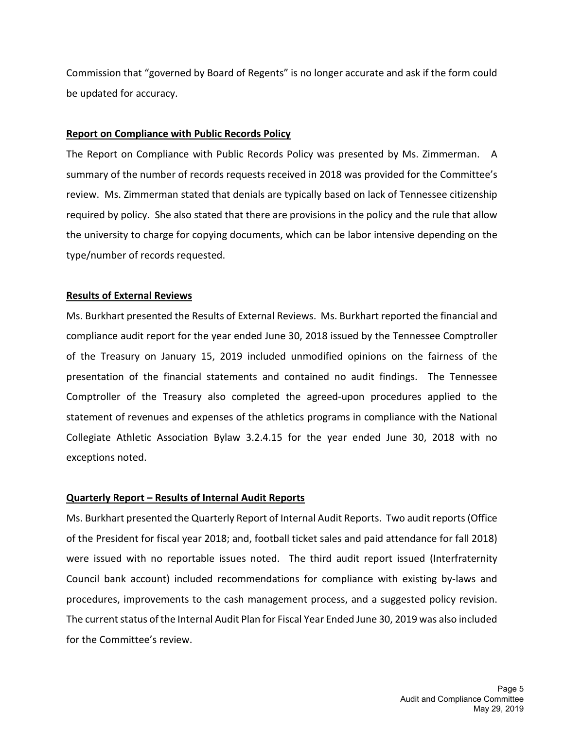Commission that "governed by Board of Regents" is no longer accurate and ask if the form could be updated for accuracy.

#### **Report on Compliance with Public Records Policy**

The Report on Compliance with Public Records Policy was presented by Ms. Zimmerman. A summary of the number of records requests received in 2018 was provided for the Committee's review. Ms. Zimmerman stated that denials are typically based on lack of Tennessee citizenship required by policy. She also stated that there are provisions in the policy and the rule that allow the university to charge for copying documents, which can be labor intensive depending on the type/number of records requested.

#### **Results of External Reviews**

Ms. Burkhart presented the Results of External Reviews. Ms. Burkhart reported the financial and compliance audit report for the year ended June 30, 2018 issued by the Tennessee Comptroller of the Treasury on January 15, 2019 included unmodified opinions on the fairness of the presentation of the financial statements and contained no audit findings. The Tennessee Comptroller of the Treasury also completed the agreed-upon procedures applied to the statement of revenues and expenses of the athletics programs in compliance with the National Collegiate Athletic Association Bylaw 3.2.4.15 for the year ended June 30, 2018 with no exceptions noted.

#### **Quarterly Report – Results of Internal Audit Reports**

Ms. Burkhart presented the Quarterly Report of Internal Audit Reports. Two audit reports(Office of the President for fiscal year 2018; and, football ticket sales and paid attendance for fall 2018) were issued with no reportable issues noted. The third audit report issued (Interfraternity Council bank account) included recommendations for compliance with existing by-laws and procedures, improvements to the cash management process, and a suggested policy revision. The current status of the Internal Audit Plan for Fiscal Year Ended June 30, 2019 was also included for the Committee's review.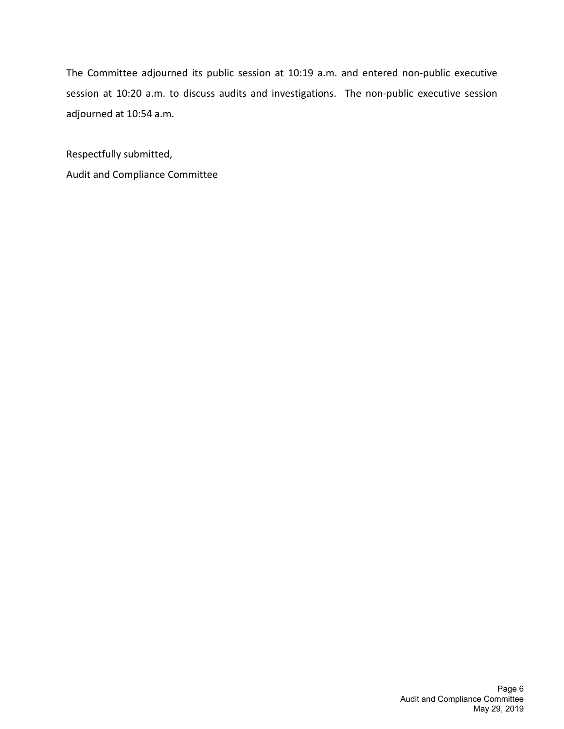The Committee adjourned its public session at 10:19 a.m. and entered non-public executive session at 10:20 a.m. to discuss audits and investigations. The non-public executive session adjourned at 10:54 a.m.

Respectfully submitted, Audit and Compliance Committee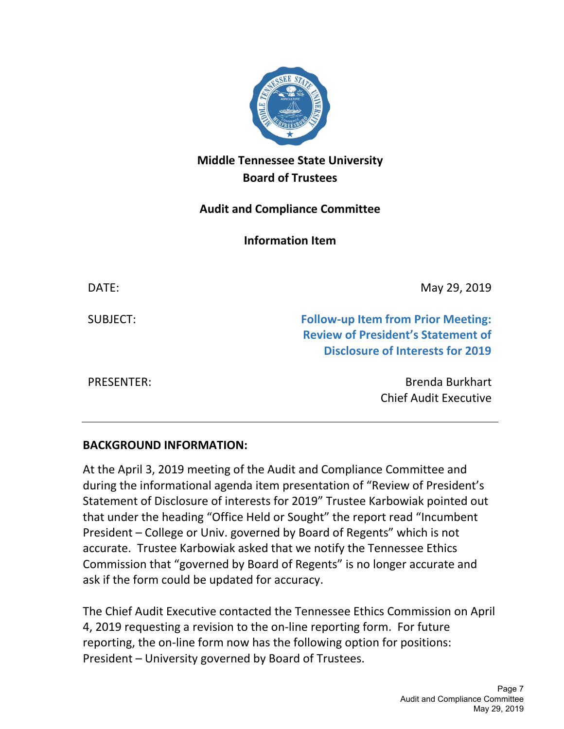

# **Audit and Compliance Committee**

# **Information Item**

| DATE:             | May 29, 2019                                                                                                                      |
|-------------------|-----------------------------------------------------------------------------------------------------------------------------------|
| SUBJECT:          | <b>Follow-up Item from Prior Meeting:</b><br><b>Review of President's Statement of</b><br><b>Disclosure of Interests for 2019</b> |
| <b>PRESENTER:</b> | Brenda Burkhart                                                                                                                   |

# **BACKGROUND INFORMATION:**

At the April 3, 2019 meeting of the Audit and Compliance Committee and during the informational agenda item presentation of "Review of President's Statement of Disclosure of interests for 2019" Trustee Karbowiak pointed out that under the heading "Office Held or Sought" the report read "Incumbent President – College or Univ. governed by Board of Regents" which is not accurate. Trustee Karbowiak asked that we notify the Tennessee Ethics Commission that "governed by Board of Regents" is no longer accurate and ask if the form could be updated for accuracy.

The Chief Audit Executive contacted the Tennessee Ethics Commission on April 4, 2019 requesting a revision to the on-line reporting form. For future reporting, the on-line form now has the following option for positions: President – University governed by Board of Trustees.

Chief Audit Executive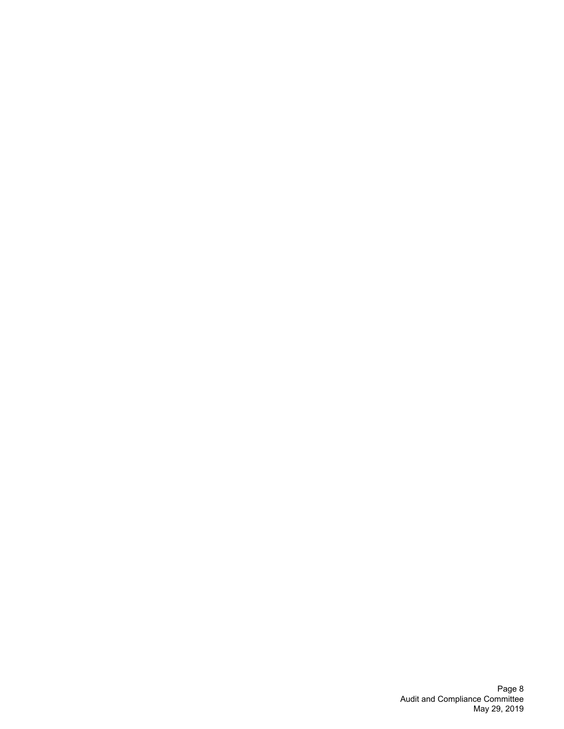Page 8 Audit and Compliance Committee May 29, 2019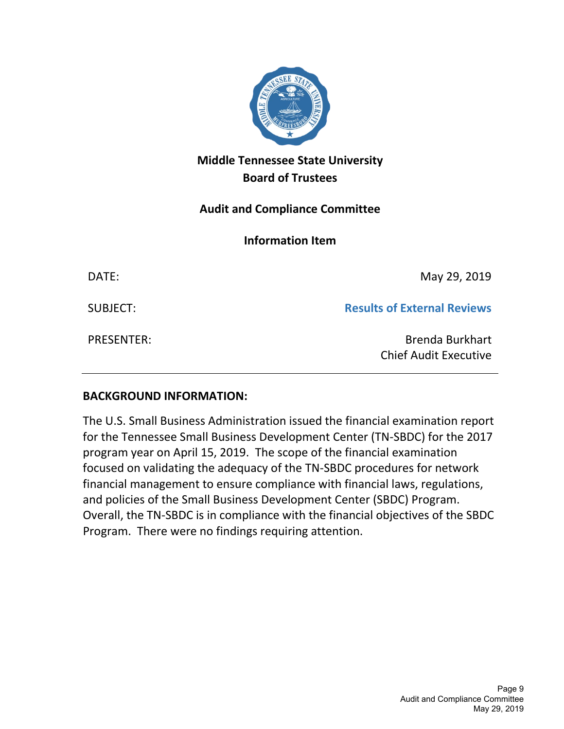

# **Audit and Compliance Committee**

# **Information Item**

| DATE:      | May 29, 2019                                    |
|------------|-------------------------------------------------|
| SUBJECT:   | <b>Results of External Reviews</b>              |
| PRESENTER: | Brenda Burkhart<br><b>Chief Audit Executive</b> |

# **BACKGROUND INFORMATION:**

The U.S. Small Business Administration issued the financial examination report for the Tennessee Small Business Development Center (TN-SBDC) for the 2017 program year on April 15, 2019. The scope of the financial examination focused on validating the adequacy of the TN-SBDC procedures for network financial management to ensure compliance with financial laws, regulations, and policies of the Small Business Development Center (SBDC) Program. Overall, the TN-SBDC is in compliance with the financial objectives of the SBDC Program. There were no findings requiring attention.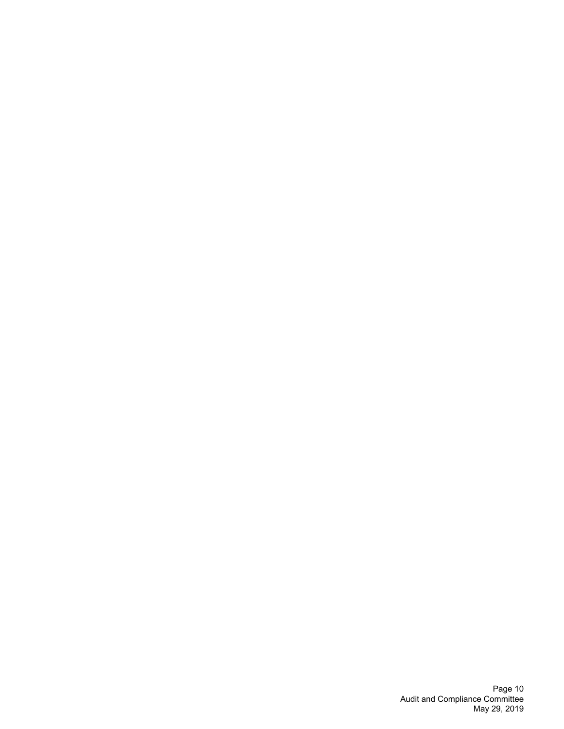Page 10 Audit and Compliance Committee May 29, 2019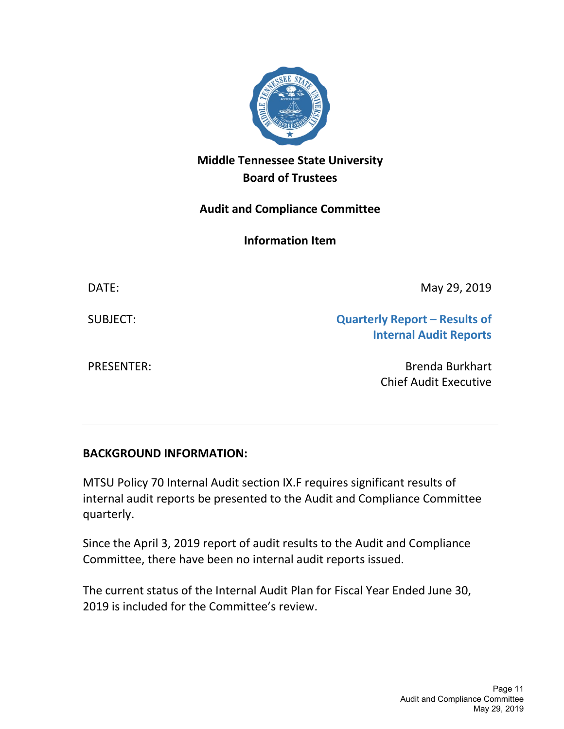

# **Audit and Compliance Committee**

# **Information Item**

| DATE:             | May 29, 2019                                                          |
|-------------------|-----------------------------------------------------------------------|
| SUBJECT:          | <b>Quarterly Report – Results of</b><br><b>Internal Audit Reports</b> |
| <b>PRESENTER:</b> | <b>Brenda Burkhart</b><br><b>Chief Audit Executive</b>                |

# **BACKGROUND INFORMATION:**

MTSU Policy 70 Internal Audit section IX.F requires significant results of internal audit reports be presented to the Audit and Compliance Committee quarterly.

Since the April 3, 2019 report of audit results to the Audit and Compliance Committee, there have been no internal audit reports issued.

The current status of the Internal Audit Plan for Fiscal Year Ended June 30, 2019 is included for the Committee's review.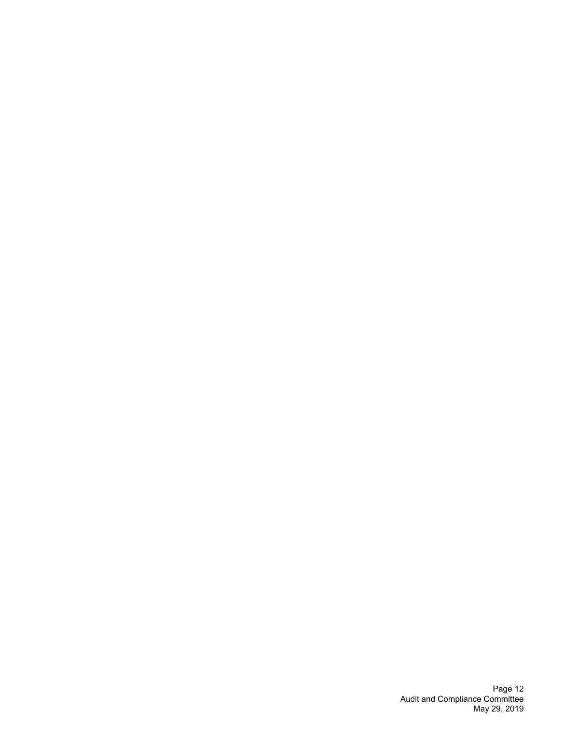Page 12 Audit and Compliance Committee May 29, 2019